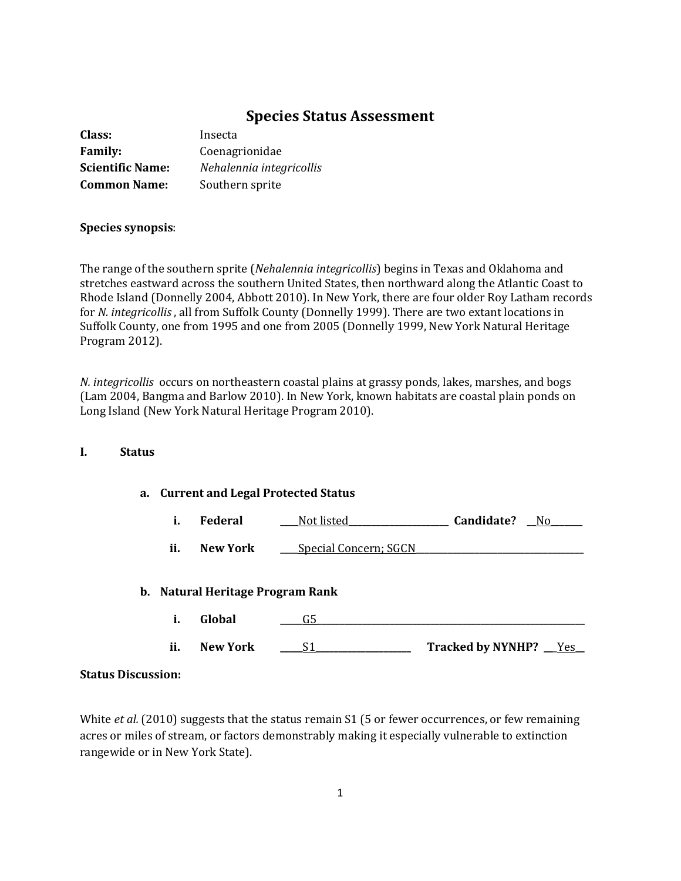# **Species Status Assessment**

| Class:                  | Insecta                  |
|-------------------------|--------------------------|
| <b>Family:</b>          | Coenagrionidae           |
| <b>Scientific Name:</b> | Nehalennia integricollis |
| <b>Common Name:</b>     | Southern sprite          |

### **Species synopsis**:

The range of the southern sprite (*Nehalennia integricollis*) begins in Texas and Oklahoma and stretches eastward across the southern United States, then northward along the Atlantic Coast to Rhode Island (Donnelly 2004, Abbott 2010). In New York, there are four older Roy Latham records for *N. integricollis* , all from Suffolk County (Donnelly 1999). There are two extant locations in Suffolk County, one from 1995 and one from 2005 (Donnelly 1999, New York Natural Heritage Program 2012).

*N. integricollis* occurs on northeastern coastal plains at grassy ponds, lakes, marshes, and bogs (Lam 2004, Bangma and Barlow 2010). In New York, known habitats are coastal plain ponds on Long Island (New York Natural Heritage Program 2010).

### **I. Status**

### **a. Current and Legal Protected Status**

|  | <b>Federal</b> | Not listed | Candidate? |  |
|--|----------------|------------|------------|--|
|--|----------------|------------|------------|--|

**ii. New York Special Concern; SGCN** 

### **b. Natural Heritage Program Rank**

**i. Global \_\_\_\_\_**G5**\_\_\_\_\_\_\_\_\_\_\_\_\_\_\_\_\_\_\_\_\_\_\_\_\_\_\_\_\_\_\_\_\_\_\_\_\_\_\_\_\_\_\_\_\_\_\_\_\_\_\_\_\_\_\_\_\_\_\_ ii. New York \_\_\_\_\_**S1**\_\_\_\_\_\_\_\_\_\_\_\_\_\_\_\_\_\_\_\_\_ Tracked by NYNHP? \_\_**\_Yes**\_\_**

### **Status Discussion:**

White *et al.* (2010) suggests that the status remain S1 (5 or fewer occurrences, or few remaining acres or miles of stream, or factors demonstrably making it especially vulnerable to extinction rangewide or in New York State).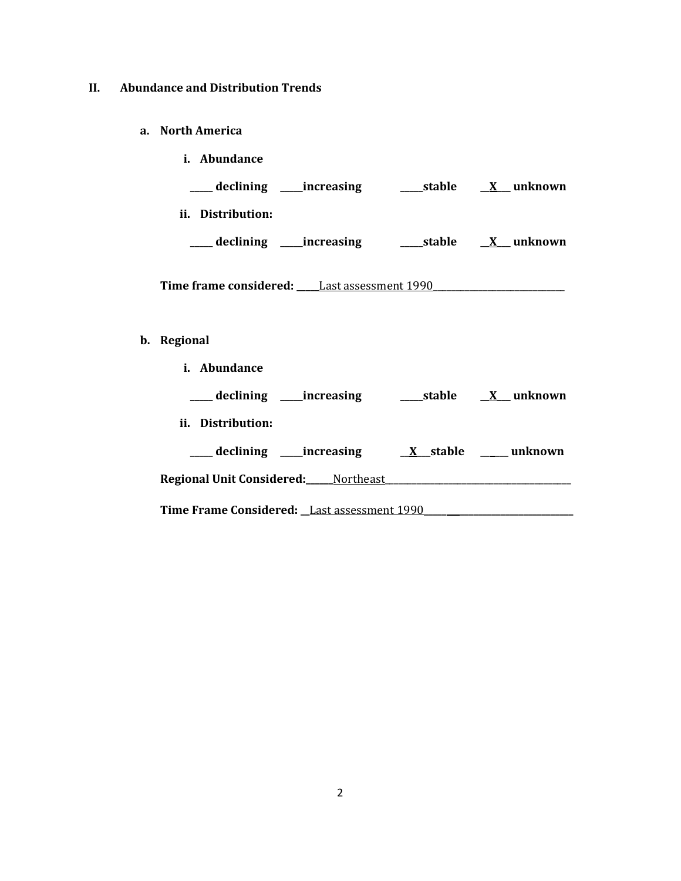## **II. Abundance and Distribution Trends**

**a. North America**

| <i>i.</i> Abundance         |        |         |
|-----------------------------|--------|---------|
| declining _____increasing   | stable | unknown |
| Distribution:<br>Ħ.         |        |         |
| declining _<br>__increasing | stable | unknown |
|                             |        |         |

Time frame considered: \_\_\_\_\_Last assessment 1990\_\_\_\_\_\_\_\_\_\_\_\_\_\_\_\_\_\_\_\_\_\_\_\_\_\_\_\_\_\_\_\_\_

# **b. Regional**

**i. Abundance**

| ___ declining _____increasing                 | _____stable | X unknown              |
|-----------------------------------------------|-------------|------------------------|
| ii. Distribution:                             |             |                        |
| __ declining _____increasing                  |             | X stable _____ unknown |
| <b>Regional Unit Considered:</b> Northeast    |             |                        |
| Time Frame Considered: _Last assessment 1990_ |             |                        |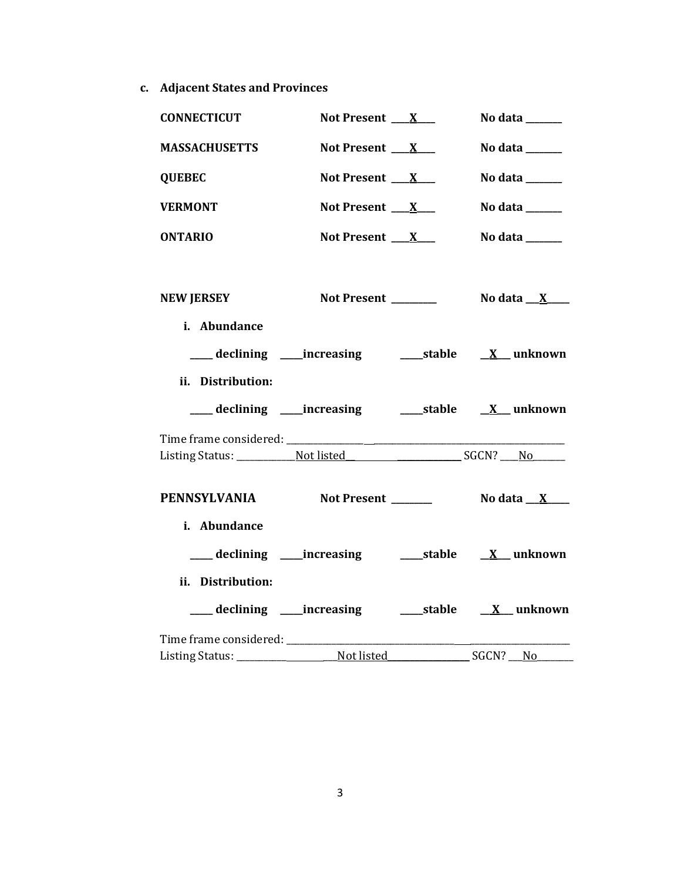**c. Adjacent States and Provinces**

| <b>CONNECTICUT</b>                | Not Present $X$                                                    | No data ______                                        |
|-----------------------------------|--------------------------------------------------------------------|-------------------------------------------------------|
| <b>MASSACHUSETTS</b>              | Not Present $X$                                                    | No data $\_\_\_\_\_\_\_\_\_\_\_\_\_\_\_\_$            |
| <b>QUEBEC</b>                     | Not Present $X_{-}$                                                | No data $\_\_\_\_\_\_\_\_\_\_\_\$                     |
| <b>VERMONT</b>                    | Not Present $X_{-}$                                                | No data $\_\_\_\_\_\_\_\_\_\_\_\_\$                   |
| <b>ONTARIO</b>                    | Not Present $X_{-}$                                                | No data $\_\_\_\_\_\_\_\_\_\_\_\$                     |
| <b>NEW JERSEY</b>                 | Not Present _______                                                | No data $X$                                           |
| i. Abundance<br>ii. Distribution: | ___ declining ____ increasing ______ stable __ <u>X</u> __ unknown |                                                       |
|                                   | ___ declining ____ increasing ______ stable ___ X__ unknown        |                                                       |
|                                   |                                                                    |                                                       |
|                                   |                                                                    |                                                       |
|                                   | PENNSYLVANIA Not Present _______                                   | No data $\underline{\quad \quad X \quad \quad \quad}$ |
| i. Abundance                      |                                                                    |                                                       |
|                                   | ___ declining ___ increasing ____ stable __ X__ unknown            |                                                       |
| ii. Distribution:                 |                                                                    |                                                       |
|                                   | declining ____increasing _______stable                             | $\underline{X}$ unknown                               |
|                                   |                                                                    |                                                       |
|                                   |                                                                    | $SGCN?$ No                                            |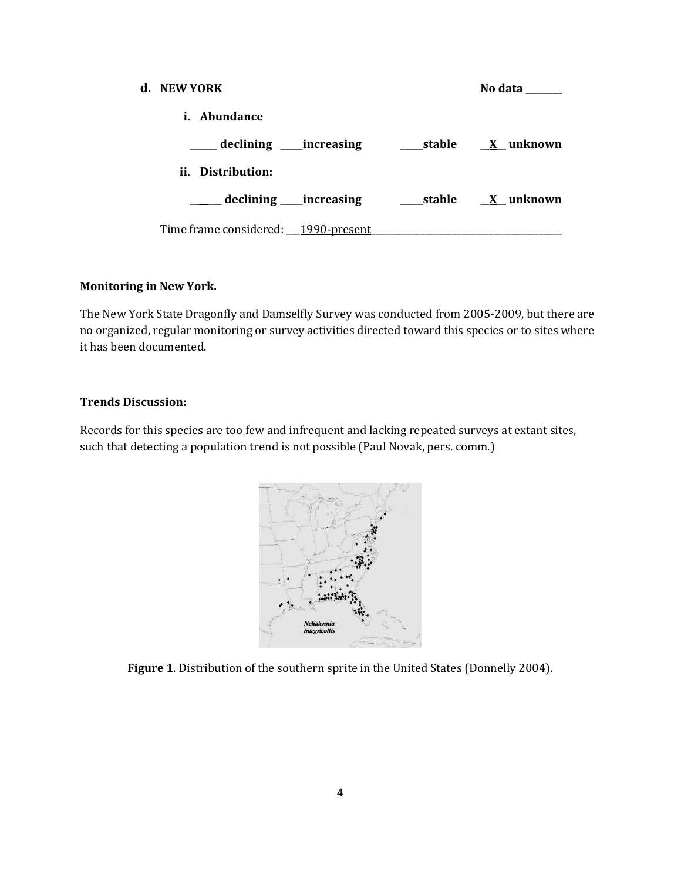| d. NEW YORK                         | No data                    |
|-------------------------------------|----------------------------|
| i. Abundance                        |                            |
| __declining ____increasing          | stable         X   unknown |
| ii. Distribution:                   |                            |
| declining _____increasing           | stable X unknown           |
| Time frame considered: 1990-present |                            |

### **Monitoring in New York.**

The New York State Dragonfly and Damselfly Survey was conducted from 2005-2009, but there are no organized, regular monitoring or survey activities directed toward this species or to sites where it has been documented.

### **Trends Discussion:**

Records for this species are too few and infrequent and lacking repeated surveys at extant sites, such that detecting a population trend is not possible (Paul Novak, pers. comm.)



**Figure 1**. Distribution of the southern sprite in the United States (Donnelly 2004).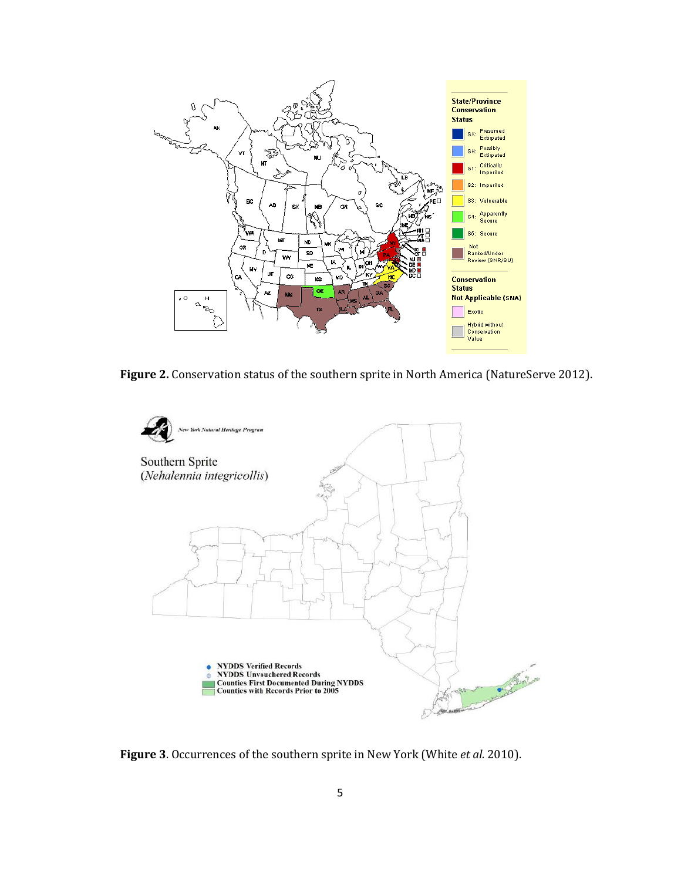

**Figure 2.** Conservation status of the southern sprite in North America (NatureServe 2012).



**Figure 3**. Occurrences of the southern sprite in New York (White *et al.* 2010).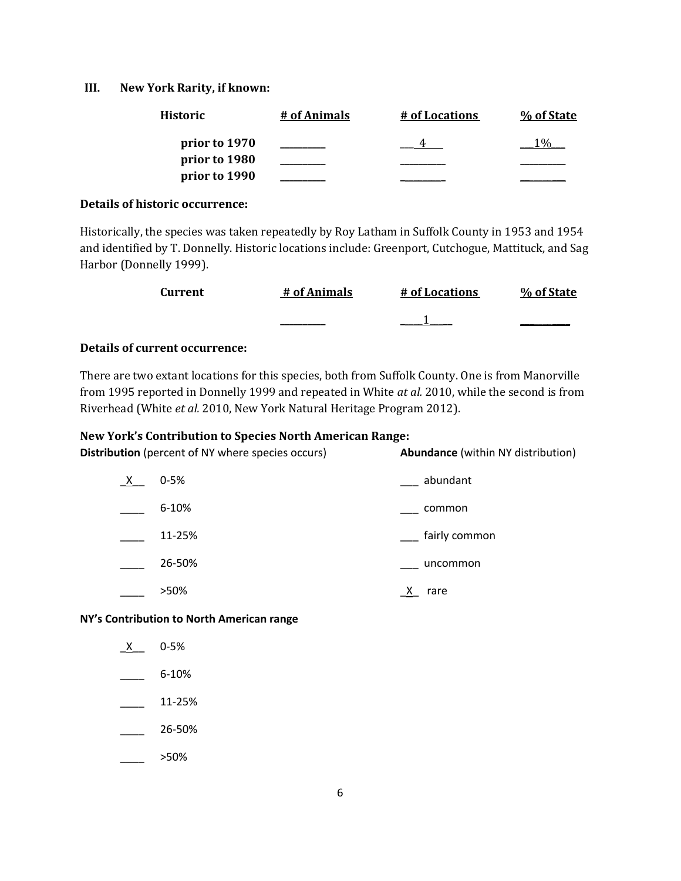### **III. New York Rarity, if known:**

| <b>Historic</b> | # of Animals | # of Locations | % of State |
|-----------------|--------------|----------------|------------|
| prior to 1970   |              |                |            |
| prior to 1980   |              |                |            |
| prior to 1990   |              |                |            |

### **Details of historic occurrence:**

Historically, the species was taken repeatedly by Roy Latham in Suffolk County in 1953 and 1954 and identified by T. Donnelly. Historic locations include: Greenport, Cutchogue, Mattituck, and Sag Harbor (Donnelly 1999).

| Current | # of Animals | # of Locations | % of State |
|---------|--------------|----------------|------------|
|         | _________    |                |            |

## **Details of current occurrence:**

There are two extant locations for this species, both from Suffolk County. One is from Manorville from 1995 reported in Donnelly 1999 and repeated in White *at al.* 2010, while the second is from Riverhead (White *et al.* 2010, New York Natural Heritage Program 2012).

### **New York's Contribution to Species North American Range:**

**Distribution** (percent of NY where species occurs) **Abundance** (within NY distribution)

| $\underline{X}$ | $0 - 5%$  | abundant      |
|-----------------|-----------|---------------|
|                 | $6 - 10%$ | common        |
|                 | 11-25%    | fairly common |
|                 | 26-50%    | uncommon      |
|                 | >50%      | х<br>rare     |

**NY's Contribution to North American range**

- \_X\_\_ 0-5%  $-$  6-10%  $\frac{11-25\%}{2}$ \_\_\_\_ 26-50%
- $\frac{1}{2}$  >50%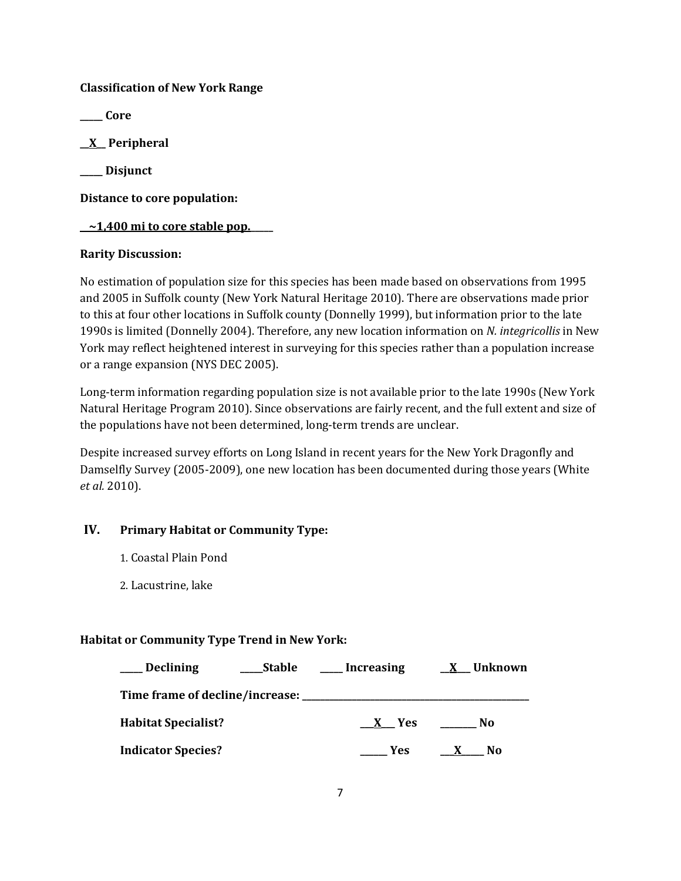## **Classification of New York Range**

**\_\_\_\_\_ Core**

**\_\_X\_\_ Peripheral**

**\_\_\_\_\_ Disjunct**

**Distance to core population:**

## **\_\_~1,400 mi to core stable pop.\_\_\_\_\_**

## **Rarity Discussion:**

No estimation of population size for this species has been made based on observations from 1995 and 2005 in Suffolk county (New York Natural Heritage 2010). There are observations made prior to this at four other locations in Suffolk county (Donnelly 1999), but information prior to the late 1990s is limited (Donnelly 2004). Therefore, any new location information on *N. integricollis* in New York may reflect heightened interest in surveying for this species rather than a population increase or a range expansion (NYS DEC 2005).

Long-term information regarding population size is not available prior to the late 1990s (New York Natural Heritage Program 2010). Since observations are fairly recent, and the full extent and size of the populations have not been determined, long-term trends are unclear.

Despite increased survey efforts on Long Island in recent years for the New York Dragonfly and Damselfly Survey (2005-2009), one new location has been documented during those years (White *et al.* 2010).

# **IV. Primary Habitat or Community Type:**

- 1. Coastal Plain Pond
- 2. Lacustrine, lake

# **Habitat or Community Type Trend in New York:**

| <b>Declining</b>                    | <b>Stable</b> | Increasing                 | Unknown<br>X |
|-------------------------------------|---------------|----------------------------|--------------|
| Time frame of decline/increase: ___ |               |                            |              |
| <b>Habitat Specialist?</b>          |               | <b>Yes</b><br>$\mathbf{X}$ | No           |
| <b>Indicator Species?</b>           |               | <b>Yes</b>                 | No           |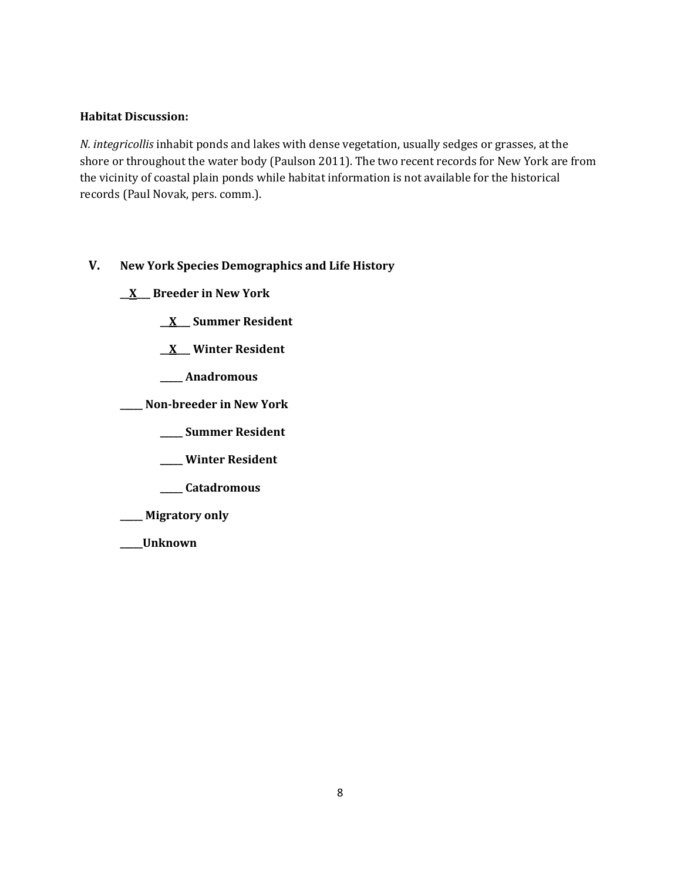## **Habitat Discussion:**

*N. integricollis* inhabit ponds and lakes with dense vegetation, usually sedges or grasses, at the shore or throughout the water body (Paulson 2011). The two recent records for New York are from the vicinity of coastal plain ponds while habitat information is not available for the historical records (Paul Novak, pers. comm.).

# **V. New York Species Demographics and Life History**

**\_\_X\_\_\_ Breeder in New York**

**\_\_X\_\_\_ Summer Resident**

**\_\_X\_\_\_ Winter Resident**

**\_\_\_\_\_ Anadromous**

**\_\_\_\_\_ Non-breeder in New York**

**\_\_\_\_\_ Summer Resident**

**\_\_\_\_\_ Winter Resident**

**\_\_\_\_\_ Catadromous**

**\_\_\_\_\_ Migratory only**

**\_\_\_\_\_Unknown**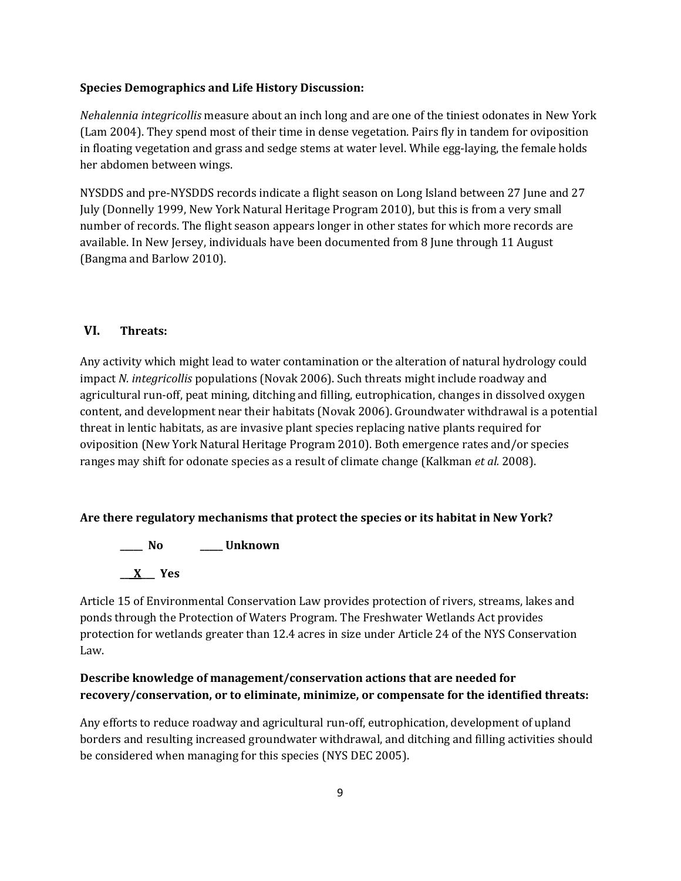### **Species Demographics and Life History Discussion:**

*Nehalennia integricollis* measure about an inch long and are one of the tiniest odonates in New York (Lam 2004). They spend most of their time in dense vegetation. Pairs fly in tandem for oviposition in floating vegetation and grass and sedge stems at water level. While egg-laying, the female holds her abdomen between wings.

NYSDDS and pre-NYSDDS records indicate a flight season on Long Island between 27 June and 27 July (Donnelly 1999, New York Natural Heritage Program 2010), but this is from a very small number of records. The flight season appears longer in other states for which more records are available. In New Jersey, individuals have been documented from 8 June through 11 August (Bangma and Barlow 2010).

## **VI. Threats:**

Any activity which might lead to water contamination or the alteration of natural hydrology could impact *N. integricollis* populations (Novak 2006). Such threats might include roadway and agricultural run-off, peat mining, ditching and filling, eutrophication, changes in dissolved oxygen content, and development near their habitats (Novak 2006). Groundwater withdrawal is a potential threat in lentic habitats, as are invasive plant species replacing native plants required for oviposition (New York Natural Heritage Program 2010). Both emergence rates and/or species ranges may shift for odonate species as a result of climate change (Kalkman *et al.* 2008).

### **Are there regulatory mechanisms that protect the species or its habitat in New York?**

**\_\_\_\_\_ No \_\_\_\_\_ Unknown \_\_\_X\_\_\_ Yes** 

Article 15 of Environmental Conservation Law provides protection of rivers, streams, lakes and ponds through the Protection of Waters Program. The Freshwater Wetlands Act provides protection for wetlands greater than 12.4 acres in size under Article 24 of the NYS Conservation Law.

# **Describe knowledge of management/conservation actions that are needed for recovery/conservation, or to eliminate, minimize, or compensate for the identified threats:**

Any efforts to reduce roadway and agricultural run-off, eutrophication, development of upland borders and resulting increased groundwater withdrawal, and ditching and filling activities should be considered when managing for this species (NYS DEC 2005).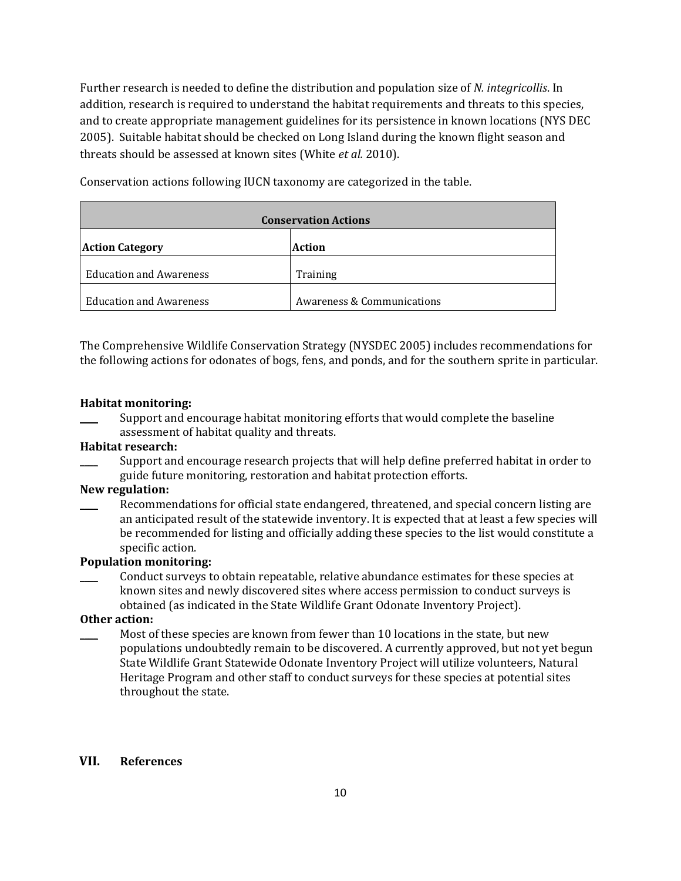Further research is needed to define the distribution and population size of *N. integricollis*. In addition, research is required to understand the habitat requirements and threats to this species, and to create appropriate management guidelines for its persistence in known locations (NYS DEC 2005). Suitable habitat should be checked on Long Island during the known flight season and threats should be assessed at known sites (White *et al.* 2010).

**Conservation Actions Action Category Action** Education and Awareness Training Education and Awareness Awareness Accommunications

Conservation actions following IUCN taxonomy are categorized in the table.

The Comprehensive Wildlife Conservation Strategy (NYSDEC 2005) includes recommendations for the following actions for odonates of bogs, fens, and ponds, and for the southern sprite in particular.

### **Habitat monitoring:**

Support and encourage habitat monitoring efforts that would complete the baseline assessment of habitat quality and threats.

### **Habitat research:**

Support and encourage research projects that will help define preferred habitat in order to guide future monitoring, restoration and habitat protection efforts.

### **New regulation:**

Recommendations for official state endangered, threatened, and special concern listing are an anticipated result of the statewide inventory. It is expected that at least a few species will be recommended for listing and officially adding these species to the list would constitute a specific action.

### **Population monitoring:**

\_\_\_\_ Conduct surveys to obtain repeatable, relative abundance estimates for these species at known sites and newly discovered sites where access permission to conduct surveys is obtained (as indicated in the State Wildlife Grant Odonate Inventory Project).

## **Other action:**

Most of these species are known from fewer than 10 locations in the state, but new populations undoubtedly remain to be discovered. A currently approved, but not yet begun State Wildlife Grant Statewide Odonate Inventory Project will utilize volunteers, Natural Heritage Program and other staff to conduct surveys for these species at potential sites throughout the state.

### **VII. References**